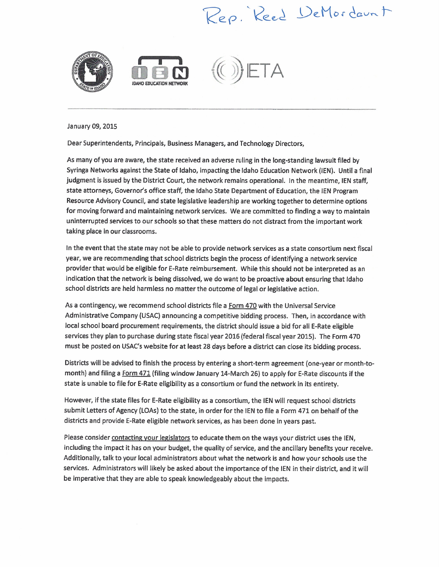## Rep. Reed DeMordaunt



January 09, 2015

Dear Superintendents, Principals, Business Managers, and Technology Directors,

As many of you are aware, the state received an adverse ruling in the long-standing lawsuit filed by Syringa Networks against the State of Idaho, impacting the Idaho Education Network (lEN). Until <sup>a</sup> final judgment is issued by the District Court, the network remains operational. In the meantime, lEN staff, state attorneys, Governor's office staff, the Idaho State Department of Education, the lEN Program Resource Advisory Council, and state legislative leadership are working together to determine options for moving forward and maintaining network services. We are committed to finding <sup>a</sup> way to maintain uninterrupted services to our schools so that these matters do not distract from the important work taking place in our classrooms.

In the event that the state may not be able to provide network services as <sup>a</sup> state consortium next fiscal year, we are recommending that school districts begin the process of identifying <sup>a</sup> network service provider that would be eligible for E-Rate reimbursement. While this should not be interpreted as an indication that the network is being dissolved, we do want to be proactive about ensuring that Idaho school districts are held harmless no matter the outcome of legal or legislative action.

As a contingency, we recommend school districts file a Form 470 with the Universal Service Administrative Company (USAC) announcing <sup>a</sup> competitive bidding process. Then, in accordance with local school board procurement requirements, the district should issue <sup>a</sup> bid for all E-Rate eligible services they plan to purchase during state fiscal year <sup>2016</sup> (federal fiscal year 2015). The Form <sup>470</sup> must be posted on USAC's website for at least 28 days before <sup>a</sup> district can close its bidding process.

Districts will be advised to finish the process by entering <sup>a</sup> short-term agreement (one-year or month-tomonth) and filing a Form 471 (filing window January 14-March 26) to apply for E-Rate discounts if the state is unable to file for E-Rate eligibility as <sup>a</sup> consortium or fund the network in its entirety.

However, if the state files for E-Rate eligibility as <sup>a</sup> consortium, the lEN will request school districts submit Letters of Agency (LOAs) to the state, in order for the IEN to file a Form 471 on behalf of the districts and provide E-Rate eligible network services, as has been done in years past.

Please consider contacting your legislators to educate them on the ways your district uses the IEN, including the impact it has on your budget, the quality of service, and the ancillary benefits your receive. Additionally, talk to your local administrators about what the network is and how your schools use the services. Administrators will likely be asked about the importance of the lEN in their district, and it will be imperative that they are able to speak knowledgeably about the impacts.